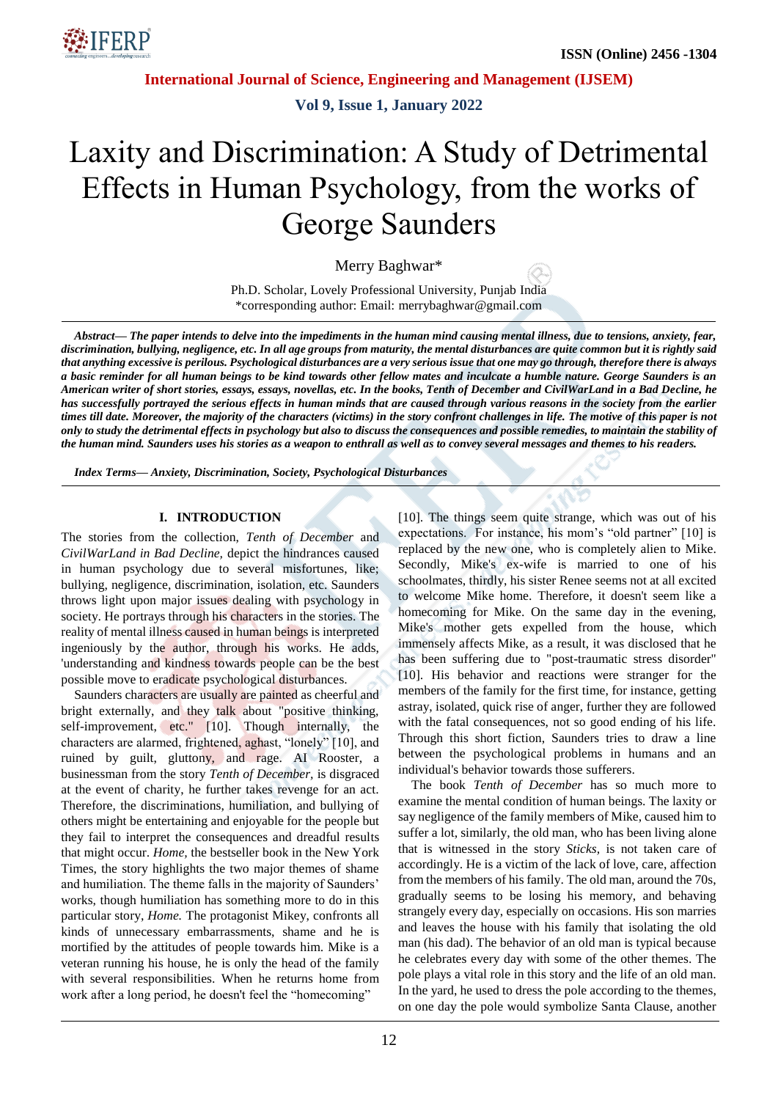

**International Journal of Science, Engineering and Management (IJSEM)**

**Vol 9, Issue 1, January 2022**

# Laxity and Discrimination: A Study of Detrimental Effects in Human Psychology, from the works of George Saunders

Merry Baghwar\*

Ph.D. Scholar, Lovely Professional University, Punjab India \*corresponding author: Email: merrybaghwar@gmail.com

*Abstract— The paper intends to delve into the impediments in the human mind causing mental illness, due to tensions, anxiety, fear, discrimination, bullying, negligence, etc. In all age groups from maturity, the mental disturbances are quite common but it is rightly said that anything excessive is perilous. Psychological disturbances are a very serious issue that one may go through, therefore there is always a basic reminder for all human beings to be kind towards other fellow mates and inculcate a humble nature. George Saunders is an American writer of short stories, essays, essays, novellas, etc. In the books, Tenth of December and CivilWarLand in a Bad Decline, he has successfully portrayed the serious effects in human minds that are caused through various reasons in the society from the earlier times till date. Moreover, the majority of the characters (victims) in the story confront challenges in life. The motive of this paper is not only to study the detrimental effects in psychology but also to discuss the consequences and possible remedies, to maintain the stability of the human mind. Saunders uses his stories as a weapon to enthrall as well as to convey several messages and themes to his readers.*

*Index Terms— Anxiety, Discrimination, Society, Psychological Disturbances*

#### **I. INTRODUCTION**

The stories from the collection, *Tenth of December* and *CivilWarLand in Bad Decline,* depict the hindrances caused in human psychology due to several misfortunes, like; bullying, negligence, discrimination, isolation, etc. Saunders throws light upon major issues dealing with psychology in society. He portrays through his characters in the stories. The reality of mental illness caused in human beings is interpreted ingeniously by the author, through his works. He adds, 'understanding and kindness towards people can be the best possible move to eradicate psychological disturbances.

Saunders characters are usually are painted as cheerful and bright externally, and they talk about "positive thinking, self-improvement, etc." [10]. Though internally, the characters are alarmed, frightened, aghast, "lonely" [10], and ruined by guilt, gluttony, and rage. AI Rooster, a businessman from the story *Tenth of December,* is disgraced at the event of charity, he further takes revenge for an act. Therefore, the discriminations, humiliation, and bullying of others might be entertaining and enjoyable for the people but they fail to interpret the consequences and dreadful results that might occur. *Home,* the bestseller book in the New York Times, the story highlights the two major themes of shame and humiliation. The theme falls in the majority of Saunders' works, though humiliation has something more to do in this particular story, *Home.* The protagonist Mikey, confronts all kinds of unnecessary embarrassments, shame and he is mortified by the attitudes of people towards him. Mike is a veteran running his house, he is only the head of the family with several responsibilities. When he returns home from work after a long period, he doesn't feel the "homecoming"

[10]. The things seem quite strange, which was out of his expectations. For instance, his mom's "old partner" [10] is replaced by the new one, who is completely alien to Mike. Secondly, Mike's ex-wife is married to one of his schoolmates, thirdly, his sister Renee seems not at all excited to welcome Mike home. Therefore, it doesn't seem like a homecoming for Mike. On the same day in the evening, Mike's mother gets expelled from the house, which immensely affects Mike, as a result, it was disclosed that he has been suffering due to "post-traumatic stress disorder" [10]. His behavior and reactions were stranger for the members of the family for the first time, for instance, getting astray, isolated, quick rise of anger, further they are followed with the fatal consequences, not so good ending of his life. Through this short fiction, Saunders tries to draw a line between the psychological problems in humans and an individual's behavior towards those sufferers.

The book *Tenth of December* has so much more to examine the mental condition of human beings. The laxity or say negligence of the family members of Mike, caused him to suffer a lot, similarly, the old man, who has been living alone that is witnessed in the story *Sticks,* is not taken care of accordingly. He is a victim of the lack of love, care, affection from the members of his family. The old man, around the 70s, gradually seems to be losing his memory, and behaving strangely every day, especially on occasions. His son marries and leaves the house with his family that isolating the old man (his dad). The behavior of an old man is typical because he celebrates every day with some of the other themes. The pole plays a vital role in this story and the life of an old man. In the yard, he used to dress the pole according to the themes, on one day the pole would symbolize Santa Clause, another